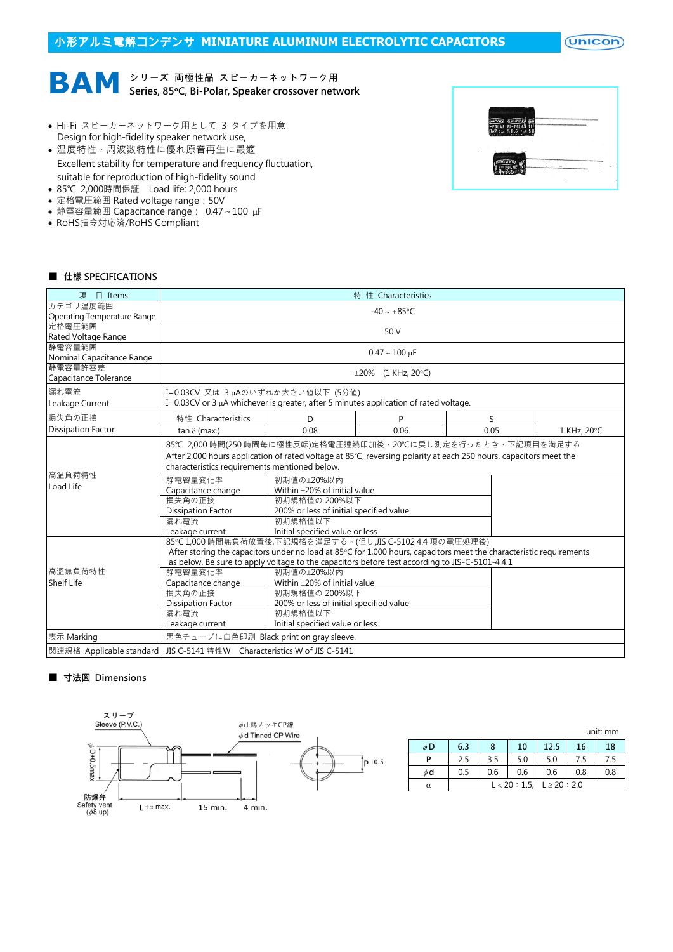# 小形アルミ電解コンデンサ **MINIATURE ALUMINUM ELECTROLYTIC CAPACITORS**

 $($ Unicon $)$ 



- Hi-Fi スピーカーネットワーク用として 3 タイプを用意 Design for high-fidelity speaker network use,
- 温度特性、周波数特性に優れ原音再生に最適 Excellent stability for temperature and frequency fluctuation, suitable for reproduction of high-fidelity sound
- 85℃ 2,000時間保証 Load life: 2,000 hours
- 定格電圧範囲 Rated voltage range:50V
- 静電容量範囲 Capacitance range: 0.47~100 µF
- RoHS指令対応済/RoHS Compliant



#### ■ 仕樣 SPECIFICATIONS

| 項 目 Items                   | 特 性 Characteristics                                                                                                 |                                         |      |      |             |  |  |
|-----------------------------|---------------------------------------------------------------------------------------------------------------------|-----------------------------------------|------|------|-------------|--|--|
| カテゴリ温度範囲                    |                                                                                                                     |                                         |      |      |             |  |  |
| Operating Temperature Range | $-40 \sim +85$ °C                                                                                                   |                                         |      |      |             |  |  |
| 定格電圧範囲                      | 50 V                                                                                                                |                                         |      |      |             |  |  |
| Rated Voltage Range         |                                                                                                                     |                                         |      |      |             |  |  |
| 静電容量範囲                      | $0.47 \sim 100 \text{ µF}$                                                                                          |                                         |      |      |             |  |  |
| Nominal Capacitance Range   |                                                                                                                     |                                         |      |      |             |  |  |
| 静電容量許容差                     | $\pm 20\%$ (1 KHz, 20°C)                                                                                            |                                         |      |      |             |  |  |
| Capacitance Tolerance       |                                                                                                                     |                                         |      |      |             |  |  |
| 漏れ電流                        | I=0.03CV 又は 3μΑのいずれか大きい値以下 (5分値)                                                                                    |                                         |      |      |             |  |  |
| Leakage Current             | I=0.03CV or 3 $\mu$ A whichever is greater, after 5 minutes application of rated voltage.                           |                                         |      |      |             |  |  |
| 損失角の正接                      | 特性 Characteristics                                                                                                  | D                                       | P    | S    |             |  |  |
| <b>Dissipation Factor</b>   | tan $\delta$ (max.)                                                                                                 | 0.08                                    | 0.06 | 0.05 | 1 KHz, 20°C |  |  |
|                             | 85℃ 2,000 時間(250 時間毎に極性反転)定格電圧連続印加後、20℃に戻し測定を行ったとき、下記項目を満足する                                                        |                                         |      |      |             |  |  |
|                             | After 2,000 hours application of rated voltage at 85°C, reversing polarity at each 250 hours, capacitors meet the   |                                         |      |      |             |  |  |
|                             | characteristics requirements mentioned below.                                                                       |                                         |      |      |             |  |  |
| 高温負荷特性                      | 静電容量変化率                                                                                                             | 初期值の±20%以内                              |      |      |             |  |  |
| Load Life                   | Capacitance change                                                                                                  | Within $\pm$ 20% of initial value       |      |      |             |  |  |
|                             | 損失角の正接                                                                                                              | 初期規格值の 200%以下                           |      |      |             |  |  |
|                             | <b>Dissipation Factor</b>                                                                                           | 200% or less of initial specified value |      |      |             |  |  |
|                             | 漏れ電流                                                                                                                | 初期規格值以下                                 |      |      |             |  |  |
|                             | Leakage current                                                                                                     | Initial specified value or less         |      |      |             |  |  |
|                             | 85℃1,000時間無負荷放置後,下記規格を滿足する。(但し,JIS C-5102 4.4 項の電圧処理後)                                                              |                                         |      |      |             |  |  |
|                             | After storing the capacitors under no load at 85°C for 1,000 hours, capacitors meet the characteristic requirements |                                         |      |      |             |  |  |
|                             | as below. Be sure to apply voltage to the capacitors before test according to JIS-C-5101-4 4.1                      |                                         |      |      |             |  |  |
| 高溫無負荷特性                     | 静電容量変化率                                                                                                             | 初期值の±20%以内                              |      |      |             |  |  |
| <b>Shelf Life</b>           | Capacitance change                                                                                                  | Within $\pm$ 20% of initial value       |      |      |             |  |  |
|                             | 損失角の正接                                                                                                              | 初期規格值の 200%以下                           |      |      |             |  |  |
|                             | <b>Dissipation Factor</b>                                                                                           | 200% or less of initial specified value |      |      |             |  |  |
|                             | 漏れ電流                                                                                                                | 初期規格值以下                                 |      |      |             |  |  |
|                             | Leakage current                                                                                                     | Initial specified value or less         |      |      |             |  |  |
| 表示 Marking                  | 黒色チューブに白色印刷 Black print on gray sleeve.                                                                             |                                         |      |      |             |  |  |
| 関連規格 Applicable standard    | JIS C-5141 特性W Characteristics W of JIS C-5141                                                                      |                                         |      |      |             |  |  |

## ■ 寸法図 Dimensions



|    | unit: mm                       |     |     |      |     |     |  |
|----|--------------------------------|-----|-----|------|-----|-----|--|
| φD | 6.3                            | 8   | 10  | 12.5 | 16  | 18  |  |
| P  | 2.5                            | 3.5 | 5.0 | 5.0  | 7.5 | 7.5 |  |
| φd | 0.5                            | 0.6 | 0.6 | 0.6  | 0.8 | 0.8 |  |
| α  | $L < 20 : 1.5, L \ge 20 : 2.0$ |     |     |      |     |     |  |